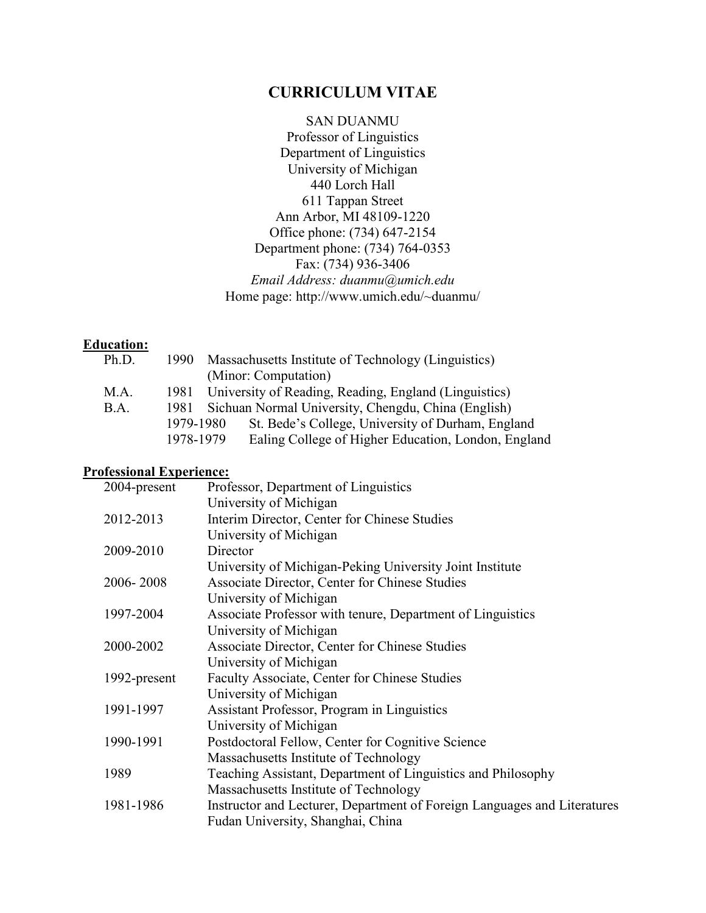# **CURRICULUM VITAE**

SAN DUANMU Professor of Linguistics Department of Linguistics University of Michigan 440 Lorch Hall 611 Tappan Street Ann Arbor, MI 48109-1220 Office phone: (734) 647-2154 Department phone: (734) 764-0353 Fax: (734) 936-3406 *Email Address: duanmu@umich.edu* Home page: http://www.umich.edu/~duanmu/

### **Education:**

| Ph.D. | 1990      | Massachusetts Institute of Technology (Linguistics)   |
|-------|-----------|-------------------------------------------------------|
|       |           | (Minor: Computation)                                  |
| M.A.  | 1981 -    | University of Reading, Reading, England (Linguistics) |
| B.A.  | 1981.     | Sichuan Normal University, Chengdu, China (English)   |
|       | 1979-1980 | St. Bede's College, University of Durham, England     |
|       | 1978-1979 | Ealing College of Higher Education, London, England   |
|       |           |                                                       |

# **Professional Experience:**

| 2004-present | Professor, Department of Linguistics                                     |
|--------------|--------------------------------------------------------------------------|
|              | University of Michigan                                                   |
| 2012-2013    | Interim Director, Center for Chinese Studies                             |
|              | University of Michigan                                                   |
| 2009-2010    | Director                                                                 |
|              | University of Michigan-Peking University Joint Institute                 |
| 2006-2008    | Associate Director, Center for Chinese Studies                           |
|              | University of Michigan                                                   |
| 1997-2004    | Associate Professor with tenure, Department of Linguistics               |
|              | University of Michigan                                                   |
| 2000-2002    | Associate Director, Center for Chinese Studies                           |
|              | University of Michigan                                                   |
| 1992-present | Faculty Associate, Center for Chinese Studies                            |
|              | University of Michigan                                                   |
| 1991-1997    | Assistant Professor, Program in Linguistics                              |
|              | University of Michigan                                                   |
| 1990-1991    | Postdoctoral Fellow, Center for Cognitive Science                        |
|              | Massachusetts Institute of Technology                                    |
| 1989         | Teaching Assistant, Department of Linguistics and Philosophy             |
|              | Massachusetts Institute of Technology                                    |
| 1981-1986    | Instructor and Lecturer, Department of Foreign Languages and Literatures |
|              | Fudan University, Shanghai, China                                        |
|              |                                                                          |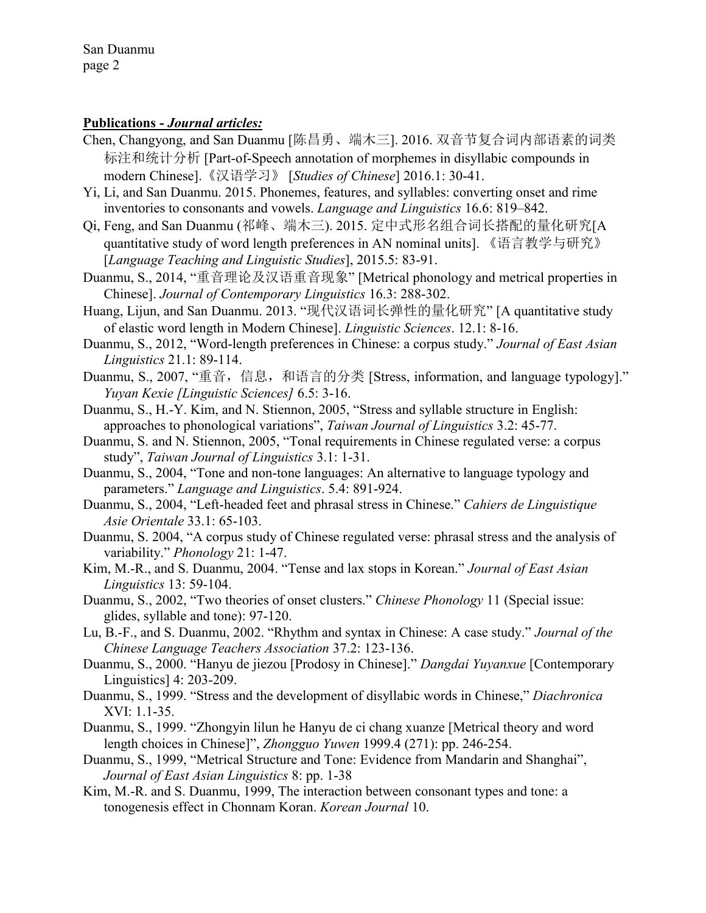#### **Publications -** *Journal articles:*

- Chen, Changyong, and San Duanmu [陈昌勇、端木三]. 2016. 双音节复合词内部语素的词类 标注和统计分析 [Part-of-Speech annotation of morphemes in disyllabic compounds in modern Chinese].《汉语学习》 [*Studies of Chinese*] 2016.1: 30-41.
- Yi, Li, and San Duanmu. 2015. Phonemes, features, and syllables: converting onset and rime inventories to consonants and vowels. *Language and Linguistics* 16.6: 819–842.
- Qi, Feng, and San Duanmu (祁峰、端木三). 2015. 定中式形名组合词长搭配的量化研究[A quantitative study of word length preferences in AN nominal units]. 《语言教学与研究》 [*Language Teaching and Linguistic Studies*], 2015.5: 83-91.
- Duanmu, S., 2014, "重音理论及汉语重音现象" [Metrical phonology and metrical properties in Chinese]. *Journal of Contemporary Linguistics* 16.3: 288-302.
- Huang, Lijun, and San Duanmu. 2013. "现代汉语词长弹性的量化研究" [A quantitative study of elastic word length in Modern Chinese]. *Linguistic Sciences*. 12.1: 8-16.
- Duanmu, S., 2012, "Word-length preferences in Chinese: a corpus study." *Journal of East Asian Linguistics* 21.1: 89-114.
- Duanmu, S., 2007, "重音, 信息, 和语言的分类 [Stress, information, and language typology]." *Yuyan Kexie [Linguistic Sciences]* 6.5: 3-16.
- Duanmu, S., H.-Y. Kim, and N. Stiennon, 2005, "Stress and syllable structure in English: approaches to phonological variations", *Taiwan Journal of Linguistics* 3.2: 45-77.
- Duanmu, S. and N. Stiennon, 2005, "Tonal requirements in Chinese regulated verse: a corpus study", *Taiwan Journal of Linguistics* 3.1: 1-31.
- Duanmu, S., 2004, "Tone and non-tone languages: An alternative to language typology and parameters." *Language and Linguistics*. 5.4: 891-924.
- Duanmu, S., 2004, "Left-headed feet and phrasal stress in Chinese." *Cahiers de Linguistique Asie Orientale* 33.1: 65-103.
- Duanmu, S. 2004, "A corpus study of Chinese regulated verse: phrasal stress and the analysis of variability." *Phonology* 21: 1-47.
- Kim, M.-R., and S. Duanmu, 2004. "Tense and lax stops in Korean." *Journal of East Asian Linguistics* 13: 59-104.
- Duanmu, S., 2002, "Two theories of onset clusters." *Chinese Phonology* 11 (Special issue: glides, syllable and tone): 97-120.
- Lu, B.-F., and S. Duanmu, 2002. "Rhythm and syntax in Chinese: A case study." *Journal of the Chinese Language Teachers Association* 37.2: 123-136.
- Duanmu, S., 2000. "Hanyu de jiezou [Prodosy in Chinese]." *Dangdai Yuyanxue* [Contemporary Linguistics] 4: 203-209.
- Duanmu, S., 1999. "Stress and the development of disyllabic words in Chinese," *Diachronica* XVI: 1.1-35.
- Duanmu, S., 1999. "Zhongyin lilun he Hanyu de ci chang xuanze [Metrical theory and word length choices in Chinese]", *Zhongguo Yuwen* 1999.4 (271): pp. 246-254.
- Duanmu, S., 1999, "Metrical Structure and Tone: Evidence from Mandarin and Shanghai", *Journal of East Asian Linguistics* 8: pp. 1-38
- Kim, M.-R. and S. Duanmu, 1999, The interaction between consonant types and tone: a tonogenesis effect in Chonnam Koran. *Korean Journal* 10.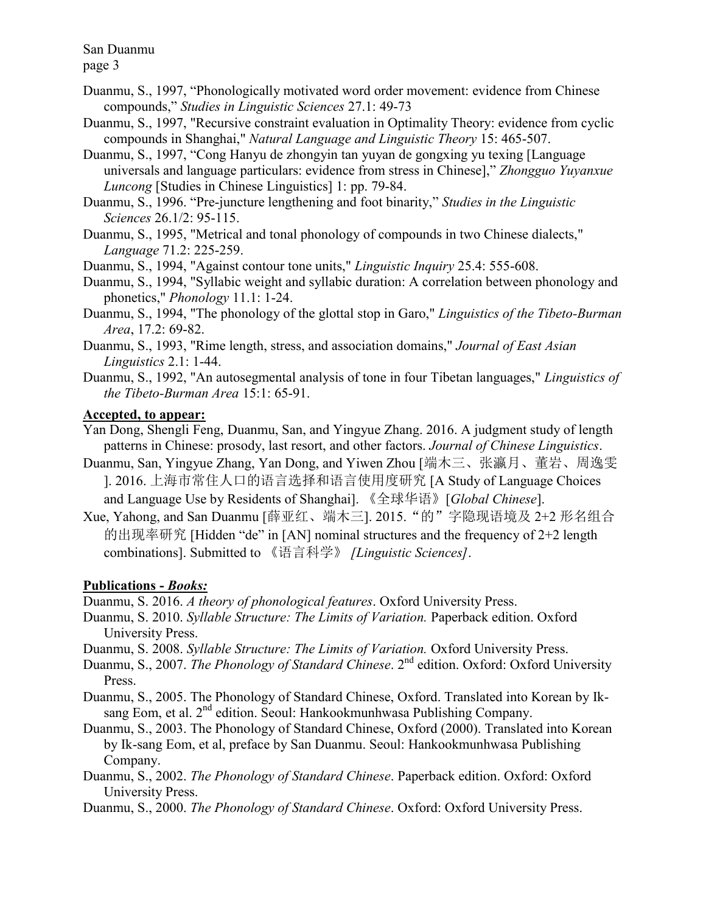page 3

- Duanmu, S., 1997, "Phonologically motivated word order movement: evidence from Chinese compounds," *Studies in Linguistic Sciences* 27.1: 49-73
- Duanmu, S., 1997, "Recursive constraint evaluation in Optimality Theory: evidence from cyclic compounds in Shanghai," *Natural Language and Linguistic Theory* 15: 465-507.
- Duanmu, S., 1997, "Cong Hanyu de zhongyin tan yuyan de gongxing yu texing [Language universals and language particulars: evidence from stress in Chinese]," *Zhongguo Yuyanxue Luncong* [Studies in Chinese Linguistics] 1: pp. 79-84.
- Duanmu, S., 1996. "Pre-juncture lengthening and foot binarity," *Studies in the Linguistic Sciences* 26.1/2: 95-115.
- Duanmu, S., 1995, "Metrical and tonal phonology of compounds in two Chinese dialects," *Language* 71.2: 225-259.
- Duanmu, S., 1994, "Against contour tone units," *Linguistic Inquiry* 25.4: 555-608.
- Duanmu, S., 1994, "Syllabic weight and syllabic duration: A correlation between phonology and phonetics," *Phonology* 11.1: 1-24.
- Duanmu, S., 1994, "The phonology of the glottal stop in Garo," *Linguistics of the Tibeto-Burman Area*, 17.2: 69-82.
- Duanmu, S., 1993, "Rime length, stress, and association domains," *Journal of East Asian Linguistics* 2.1: 1-44.
- Duanmu, S., 1992, "An autosegmental analysis of tone in four Tibetan languages," *Linguistics of the Tibeto-Burman Area* 15:1: 65-91.

# **Accepted, to appear:**

- Yan Dong, Shengli Feng, Duanmu, San, and Yingyue Zhang. 2016. A judgment study of length patterns in Chinese: prosody, last resort, and other factors. *Journal of Chinese Linguistics*.
- Duanmu, San, Yingyue Zhang, Yan Dong, and Yiwen Zhou [端木三、张瀛月、董岩、周逸雯 ]. 2016. 上海市常住人口的语言选择和语言使用度研究 [A Study of Language Choices and Language Use by Residents of Shanghai]. 《全球华语》[*Global Chinese*].
- Xue, Yahong, and San Duanmu [薛亚红、端木三]. 2015."的"字隐现语境及 2+2 形名组合 的出现率研究 [Hidden "de" in [AN] nominal structures and the frequency of 2+2 length combinations]. Submitted to 《语言科学》 *[Linguistic Sciences]*.

# **Publications -** *Books:*

Duanmu, S. 2016. *A theory of phonological features*. Oxford University Press.

- Duanmu, S. 2010. *Syllable Structure: The Limits of Variation.* Paperback edition. Oxford University Press.
- Duanmu, S. 2008. *Syllable Structure: The Limits of Variation.* Oxford University Press.
- Duanmu, S., 2007. *The Phonology of Standard Chinese*. 2<sup>nd</sup> edition. Oxford: Oxford University Press.
- Duanmu, S., 2005. The Phonology of Standard Chinese, Oxford. Translated into Korean by Iksang Eom, et al. 2<sup>nd</sup> edition. Seoul: Hankookmunhwasa Publishing Company.
- Duanmu, S., 2003. The Phonology of Standard Chinese, Oxford (2000). Translated into Korean by Ik-sang Eom, et al, preface by San Duanmu. Seoul: Hankookmunhwasa Publishing Company.
- Duanmu, S., 2002. *The Phonology of Standard Chinese*. Paperback edition. Oxford: Oxford University Press.
- Duanmu, S., 2000. *The Phonology of Standard Chinese*. Oxford: Oxford University Press.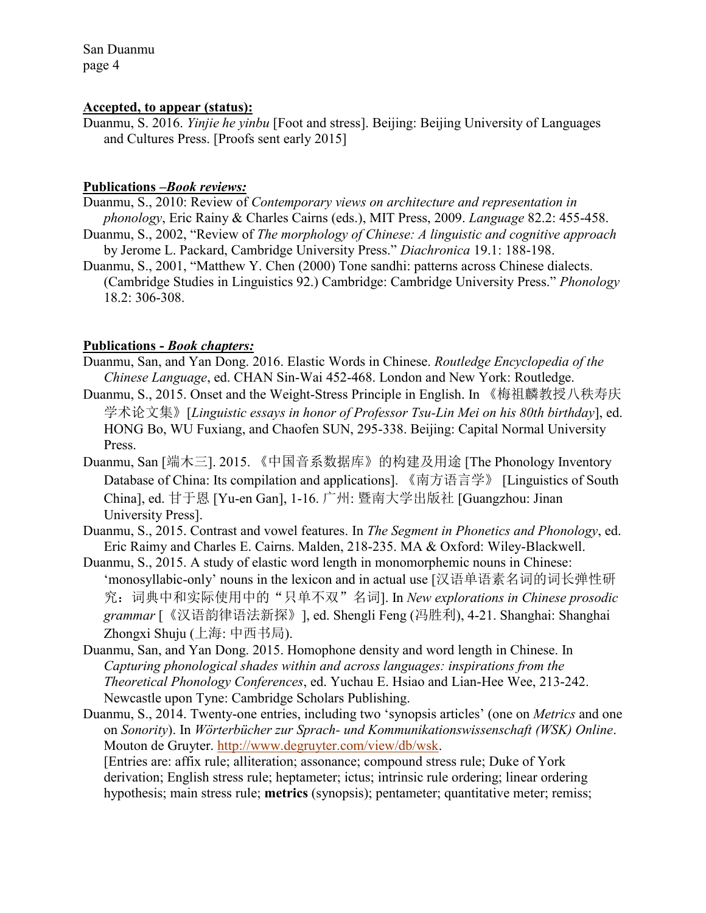#### **Accepted, to appear (status):**

Duanmu, S. 2016. *Yinjie he yinbu* [Foot and stress]. Beijing: Beijing University of Languages and Cultures Press. [Proofs sent early 2015]

#### **Publications –***Book reviews:*

Duanmu, S., 2010: Review of *Contemporary views on architecture and representation in phonology*, Eric Rainy & Charles Cairns (eds.), MIT Press, 2009. *Language* 82.2: 455-458.

- Duanmu, S., 2002, "Review of *The morphology of Chinese: A linguistic and cognitive approach* by Jerome L. Packard, Cambridge University Press." *Diachronica* 19.1: 188-198.
- Duanmu, S., 2001, "Matthew Y. Chen (2000) Tone sandhi: patterns across Chinese dialects. (Cambridge Studies in Linguistics 92.) Cambridge: Cambridge University Press." *Phonology* 18.2: 306-308.

#### **Publications -** *Book chapters:*

- Duanmu, San, and Yan Dong. 2016. Elastic Words in Chinese. *Routledge Encyclopedia of the Chinese Language*, ed. CHAN Sin-Wai 452-468. London and New York: Routledge.
- Duanmu, S., 2015. Onset and the Weight-Stress Principle in English. In 《梅祖麟教授八秩寿庆 学术论文集》[*Linguistic essays in honor of Professor Tsu-Lin Mei on his 80th birthday*], ed. HONG Bo, WU Fuxiang, and Chaofen SUN, 295-338. Beijing: Capital Normal University Press.
- Duanmu, San [端木三]. 2015. 《中国音系数据库》的构建及用途 [The Phonology Inventory Database of China: Its compilation and applications]. 《南方语言学》 [Linguistics of South China], ed. 甘于恩 [Yu-en Gan], 1-16. 广州: 暨南大学出版社 [Guangzhou: Jinan University Press].
- Duanmu, S., 2015. Contrast and vowel features. In *The Segment in Phonetics and Phonology*, ed. Eric Raimy and Charles E. Cairns. Malden, 218-235. MA & Oxford: Wiley-Blackwell.
- Duanmu, S., 2015. A study of elastic word length in monomorphemic nouns in Chinese: 'monosyllabic-only' nouns in the lexicon and in actual use [汉语单语素名词的词长弹性研 究:词典中和实际使用中的"只单不双"名词]. In *New explorations in Chinese prosodic grammar* [《汉语韵律语法新探》], ed. Shengli Feng (冯胜利), 4-21. Shanghai: Shanghai Zhongxi Shuju (上海: 中西书局).
- Duanmu, San, and Yan Dong. 2015. Homophone density and word length in Chinese. In *Capturing phonological shades within and across languages: inspirations from the Theoretical Phonology Conferences*, ed. Yuchau E. Hsiao and Lian-Hee Wee, 213-242. Newcastle upon Tyne: Cambridge Scholars Publishing.
- Duanmu, S., 2014. Twenty-one entries, including two 'synopsis articles' (one on *Metrics* and one on *Sonority*). In *Wörterbücher zur Sprach- und Kommunikationswissenschaft (WSK) Online*. Mouton de Gruyter. [http://www.degruyter.com/view/db/wsk.](http://www.degruyter.com/view/db/wsk) [Entries are: affix rule; alliteration; assonance; compound stress rule; Duke of York derivation; English stress rule; heptameter; ictus; intrinsic rule ordering; linear ordering hypothesis; main stress rule; **metrics** (synopsis); pentameter; quantitative meter; remiss;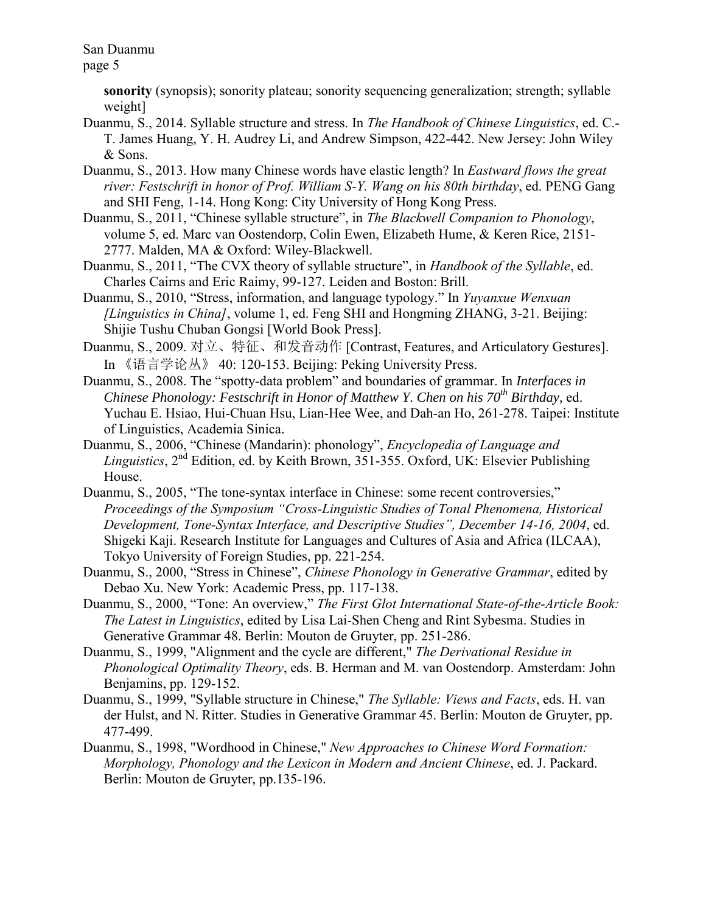page 5

**sonority** (synopsis); sonority plateau; sonority sequencing generalization; strength; syllable weight]

- Duanmu, S., 2014. Syllable structure and stress. In *The Handbook of Chinese Linguistics*, ed. C.- T. James Huang, Y. H. Audrey Li, and Andrew Simpson, 422-442. New Jersey: John Wiley & Sons.
- Duanmu, S., 2013. How many Chinese words have elastic length? In *Eastward flows the great river: Festschrift in honor of Prof. William S-Y. Wang on his 80th birthday*, ed. PENG Gang and SHI Feng, 1-14. Hong Kong: City University of Hong Kong Press.
- Duanmu, S., 2011, "Chinese syllable structure", in *The Blackwell Companion to Phonology*, volume 5, ed. Marc van Oostendorp, Colin Ewen, Elizabeth Hume, & Keren Rice, 2151- 2777. Malden, MA & Oxford: Wiley-Blackwell.
- Duanmu, S., 2011, "The CVX theory of syllable structure", in *Handbook of the Syllable*, ed. Charles Cairns and Eric Raimy, 99-127. Leiden and Boston: Brill.
- Duanmu, S., 2010, "Stress, information, and language typology." In *Yuyanxue Wenxuan [Linguistics in China]*, volume 1, ed. Feng SHI and Hongming ZHANG, 3-21. Beijing: Shijie Tushu Chuban Gongsi [World Book Press].
- Duanmu, S., 2009. 对立、特征、和发音动作 [Contrast, Features, and Articulatory Gestures]. In 《语言学论丛》 40: 120-153. Beijing: Peking University Press.
- Duanmu, S., 2008. The "spotty-data problem" and boundaries of grammar. In *Interfaces in Chinese Phonology: Festschrift in Honor of Matthew Y. Chen on his 70th Birthday*, ed. Yuchau E. Hsiao, Hui-Chuan Hsu, Lian-Hee Wee, and Dah-an Ho, 261-278. Taipei: Institute of Linguistics, Academia Sinica.
- Duanmu, S., 2006, "Chinese (Mandarin): phonology", *Encyclopedia of Language and Linguistics*, 2nd Edition, ed. by Keith Brown, 351-355. Oxford, UK: Elsevier Publishing House.
- Duanmu, S., 2005, "The tone-syntax interface in Chinese: some recent controversies," *Proceedings of the Symposium "Cross-Linguistic Studies of Tonal Phenomena, Historical Development, Tone-Syntax Interface, and Descriptive Studies", December 14-16, 2004*, ed. Shigeki Kaji. Research Institute for Languages and Cultures of Asia and Africa (ILCAA), Tokyo University of Foreign Studies, pp. 221-254.
- Duanmu, S., 2000, "Stress in Chinese", *Chinese Phonology in Generative Grammar*, edited by Debao Xu. New York: Academic Press, pp. 117-138.
- Duanmu, S., 2000, "Tone: An overview," *The First Glot International State-of-the-Article Book: The Latest in Linguistics*, edited by Lisa Lai-Shen Cheng and Rint Sybesma. Studies in Generative Grammar 48. Berlin: Mouton de Gruyter, pp. 251-286.
- Duanmu, S., 1999, "Alignment and the cycle are different," *The Derivational Residue in Phonological Optimality Theory*, eds. B. Herman and M. van Oostendorp. Amsterdam: John Benjamins, pp. 129-152.
- Duanmu, S., 1999, "Syllable structure in Chinese," *The Syllable: Views and Facts*, eds. H. van der Hulst, and N. Ritter. Studies in Generative Grammar 45. Berlin: Mouton de Gruyter, pp. 477-499.
- Duanmu, S., 1998, "Wordhood in Chinese," *New Approaches to Chinese Word Formation: Morphology, Phonology and the Lexicon in Modern and Ancient Chinese*, ed. J. Packard. Berlin: Mouton de Gruyter, pp.135-196.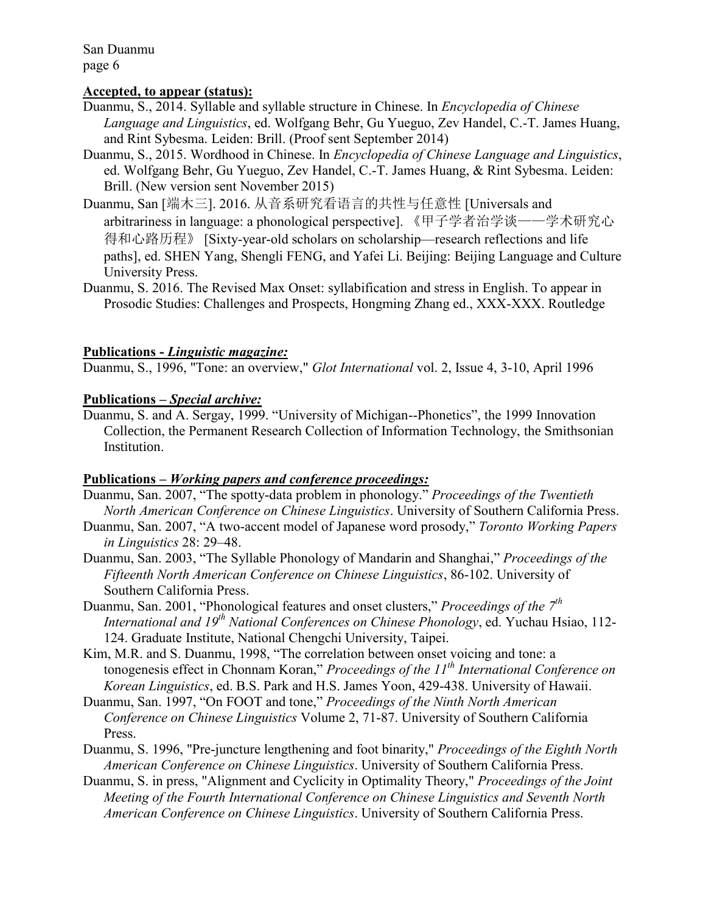## **Accepted, to appear (status):**

- Duanmu, S., 2014. Syllable and syllable structure in Chinese. In *Encyclopedia of Chinese Language and Linguistics*, ed. Wolfgang Behr, Gu Yueguo, Zev Handel, C.-T. James Huang, and Rint Sybesma. Leiden: Brill. (Proof sent September 2014)
- Duanmu, S., 2015. Wordhood in Chinese. In *Encyclopedia of Chinese Language and Linguistics*, ed. Wolfgang Behr, Gu Yueguo, Zev Handel, C.-T. James Huang, & Rint Sybesma. Leiden: Brill. (New version sent November 2015)
- Duanmu, San [端木三]. 2016. 从音系研究看语言的共性与任意性 [Universals and arbitrariness in language: a phonological perspective]. 《甲子学者治学谈——学术研究心 得和心路历程》 [Sixty-year-old scholars on scholarship—research reflections and life paths], ed. SHEN Yang, Shengli FENG, and Yafei Li. Beijing: Beijing Language and Culture University Press.
- Duanmu, S. 2016. The Revised Max Onset: syllabification and stress in English. To appear in Prosodic Studies: Challenges and Prospects, Hongming Zhang ed., XXX-XXX. Routledge

#### **Publications -** *Linguistic magazine:*

Duanmu, S., 1996, "Tone: an overview," *Glot International* vol. 2, Issue 4, 3-10, April 1996

#### **Publications –** *Special archive:*

Duanmu, S. and A. Sergay, 1999. "University of Michigan--Phonetics", the 1999 Innovation Collection, the Permanent Research Collection of Information Technology, the Smithsonian Institution.

#### **Publications –** *Working papers and conference proceedings:*

- Duanmu, San. 2007, "The spotty-data problem in phonology." *Proceedings of the Twentieth North American Conference on Chinese Linguistics*. University of Southern California Press.
- Duanmu, San. 2007, "A two-accent model of Japanese word prosody," *Toronto Working Papers in Linguistics* 28: 29–48.
- Duanmu, San. 2003, "The Syllable Phonology of Mandarin and Shanghai," *Proceedings of the Fifteenth North American Conference on Chinese Linguistics*, 86-102. University of Southern California Press.
- Duanmu, San. 2001, "Phonological features and onset clusters," *Proceedings of the 7th International and 19th National Conferences on Chinese Phonology*, ed. Yuchau Hsiao, 112- 124. Graduate Institute, National Chengchi University, Taipei.
- Kim, M.R. and S. Duanmu, 1998, "The correlation between onset voicing and tone: a tonogenesis effect in Chonnam Koran," *Proceedings of the 11th International Conference on Korean Linguistics*, ed. B.S. Park and H.S. James Yoon, 429-438. University of Hawaii.
- Duanmu, San. 1997, "On FOOT and tone," *Proceedings of the Ninth North American Conference on Chinese Linguistics* Volume 2, 71-87. University of Southern California Press.
- Duanmu, S. 1996, "Pre-juncture lengthening and foot binarity," *Proceedings of the Eighth North American Conference on Chinese Linguistics*. University of Southern California Press.
- Duanmu, S. in press, "Alignment and Cyclicity in Optimality Theory," *Proceedings of the Joint Meeting of the Fourth International Conference on Chinese Linguistics and Seventh North American Conference on Chinese Linguistics*. University of Southern California Press.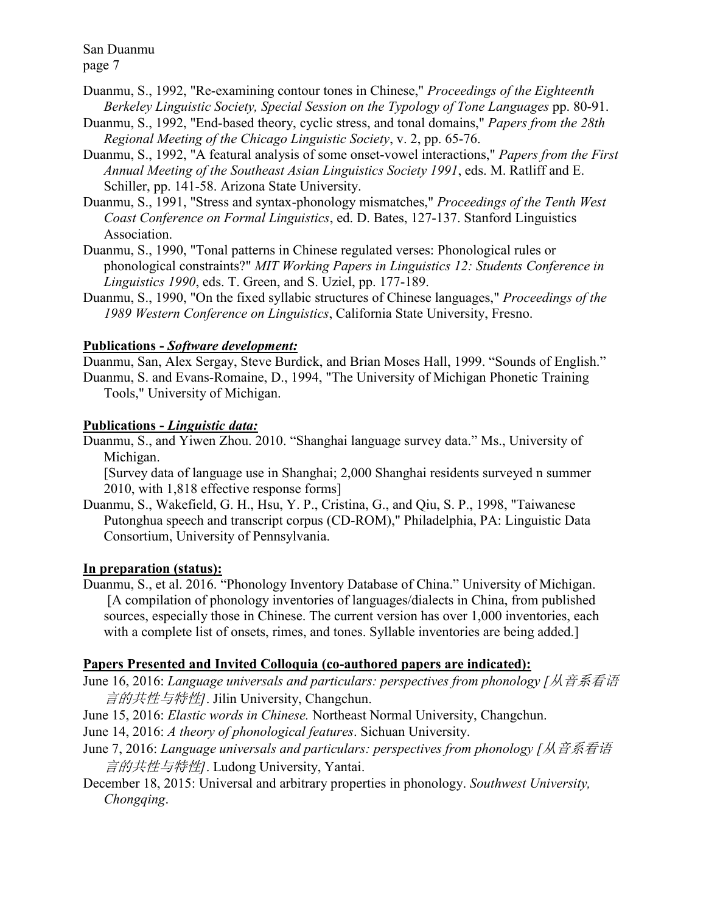Duanmu, S., 1992, "Re-examining contour tones in Chinese," *Proceedings of the Eighteenth Berkeley Linguistic Society, Special Session on the Typology of Tone Languages* pp. 80-91.

- Duanmu, S., 1992, "End-based theory, cyclic stress, and tonal domains," *Papers from the 28th Regional Meeting of the Chicago Linguistic Society*, v. 2, pp. 65-76.
- Duanmu, S., 1992, "A featural analysis of some onset-vowel interactions," *Papers from the First Annual Meeting of the Southeast Asian Linguistics Society 1991*, eds. M. Ratliff and E. Schiller, pp. 141-58. Arizona State University.
- Duanmu, S., 1991, "Stress and syntax-phonology mismatches," *Proceedings of the Tenth West Coast Conference on Formal Linguistics*, ed. D. Bates, 127-137. Stanford Linguistics Association.
- Duanmu, S., 1990, "Tonal patterns in Chinese regulated verses: Phonological rules or phonological constraints?" *MIT Working Papers in Linguistics 12: Students Conference in Linguistics 1990*, eds. T. Green, and S. Uziel, pp. 177-189.
- Duanmu, S., 1990, "On the fixed syllabic structures of Chinese languages," *Proceedings of the 1989 Western Conference on Linguistics*, California State University, Fresno.

## **Publications -** *Software development:*

Duanmu, San, Alex Sergay, Steve Burdick, and Brian Moses Hall, 1999. "Sounds of English." Duanmu, S. and Evans-Romaine, D., 1994, "The University of Michigan Phonetic Training Tools," University of Michigan.

## **Publications -** *Linguistic data:*

Duanmu, S., and Yiwen Zhou. 2010. "Shanghai language survey data." Ms., University of Michigan.

[Survey data of language use in Shanghai; 2,000 Shanghai residents surveyed n summer 2010, with 1,818 effective response forms]

Duanmu, S., Wakefield, G. H., Hsu, Y. P., Cristina, G., and Qiu, S. P., 1998, "Taiwanese Putonghua speech and transcript corpus (CD-ROM)," Philadelphia, PA: Linguistic Data Consortium, University of Pennsylvania.

# **In preparation (status):**

Duanmu, S., et al. 2016. "Phonology Inventory Database of China." University of Michigan. [A compilation of phonology inventories of languages/dialects in China, from published sources, especially those in Chinese. The current version has over 1,000 inventories, each with a complete list of onsets, rimes, and tones. Syllable inventories are being added.

# **Papers Presented and Invited Colloquia (co-authored papers are indicated):**

- June 16, 2016: *Language universals and particulars: perspectives from phonology [*从音系看语 言的共性与特性*]*. Jilin University, Changchun.
- June 15, 2016: *Elastic words in Chinese.* Northeast Normal University, Changchun.
- June 14, 2016: *A theory of phonological features*. Sichuan University.
- June 7, 2016: *Language universals and particulars: perspectives from phonology [*从音系看语 言的共性与特性*]*. Ludong University, Yantai.
- December 18, 2015: Universal and arbitrary properties in phonology. *Southwest University, Chongqing*.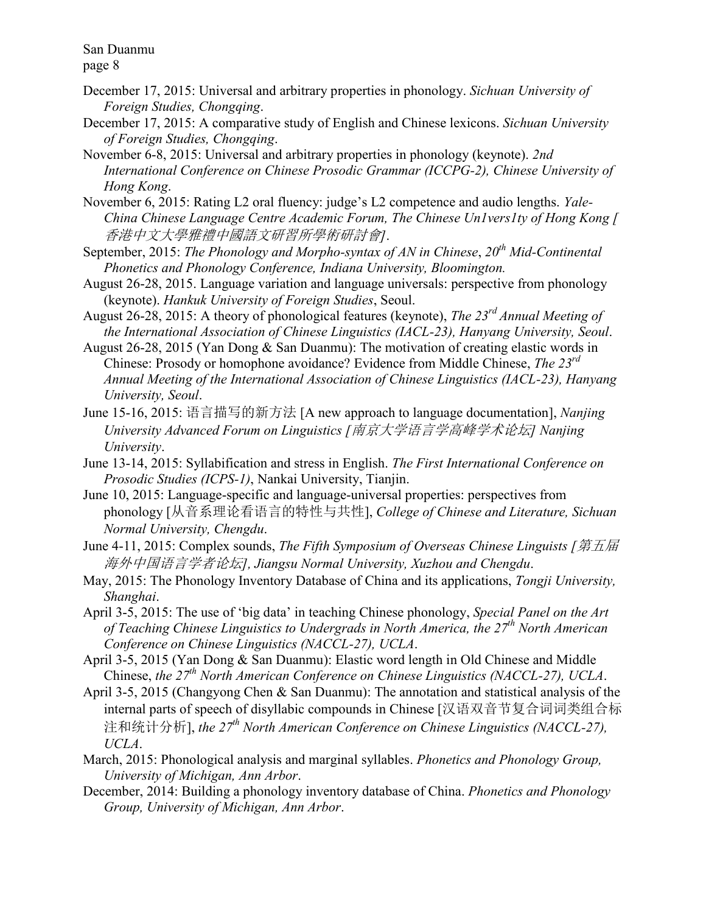page 8

- December 17, 2015: Universal and arbitrary properties in phonology. *Sichuan University of Foreign Studies, Chongqing*.
- December 17, 2015: A comparative study of English and Chinese lexicons. *Sichuan University of Foreign Studies, Chongqing*.
- November 6-8, 2015: Universal and arbitrary properties in phonology (keynote). *2nd International Conference on Chinese Prosodic Grammar (ICCPG-2), Chinese University of Hong Kong*.
- November 6, 2015: Rating L2 oral fluency: judge's L2 competence and audio lengths. *Yale-China Chinese Language Centre Academic Forum, The Chinese Un1vers1ty of Hong Kong [* 香港中文大學雅禮中國語文研習所學術研討會*]*.
- September, 2015: *The Phonology and Morpho-syntax of AN in Chinese*, *20th Mid-Continental Phonetics and Phonology Conference, Indiana University, Bloomington.*
- August 26-28, 2015. Language variation and language universals: perspective from phonology (keynote). *Hankuk University of Foreign Studies*, Seoul.
- August 26-28, 2015: A theory of phonological features (keynote), *The 23rd Annual Meeting of the International Association of Chinese Linguistics (IACL-23), Hanyang University, Seoul*.
- August 26-28, 2015 (Yan Dong & San Duanmu): The motivation of creating elastic words in Chinese: Prosody or homophone avoidance? Evidence from Middle Chinese, *The 23rd Annual Meeting of the International Association of Chinese Linguistics (IACL-23), Hanyang University, Seoul*.
- June 15-16, 2015: 语言描写的新方法 [A new approach to language documentation], *Nanjing University Advanced Forum on Linguistics [*南京大学语言学高峰学术论坛*] Nanjing University*.
- June 13-14, 2015: Syllabification and stress in English. *The First International Conference on Prosodic Studies (ICPS-1)*, Nankai University, Tianjin.
- June 10, 2015: Language-specific and language-universal properties: perspectives from phonology [从音系理论看语言的特性与共性], *College of Chinese and Literature, Sichuan Normal University, Chengdu*.
- June 4-11, 2015: Complex sounds, *The Fifth Symposium of Overseas Chinese Linguists [*第五届 海外中国语言学者论坛*], Jiangsu Normal University, Xuzhou and Chengdu*.
- May, 2015: The Phonology Inventory Database of China and its applications, *Tongji University, Shanghai*.
- April 3-5, 2015: The use of 'big data' in teaching Chinese phonology, *Special Panel on the Art of Teaching Chinese Linguistics to Undergrads in North America, the 27th North American Conference on Chinese Linguistics (NACCL-27), UCLA*.
- April 3-5, 2015 (Yan Dong & San Duanmu): Elastic word length in Old Chinese and Middle Chinese, *the 27th North American Conference on Chinese Linguistics (NACCL-27), UCLA*.
- April 3-5, 2015 (Changyong Chen & San Duanmu): The annotation and statistical analysis of the internal parts of speech of disyllabic compounds in Chinese [汉语双音节复合词词类组合标 注和统计分析], *the 27th North American Conference on Chinese Linguistics (NACCL-27), UCLA*.
- March, 2015: Phonological analysis and marginal syllables. *Phonetics and Phonology Group, University of Michigan, Ann Arbor*.
- December, 2014: Building a phonology inventory database of China. *Phonetics and Phonology Group, University of Michigan, Ann Arbor*.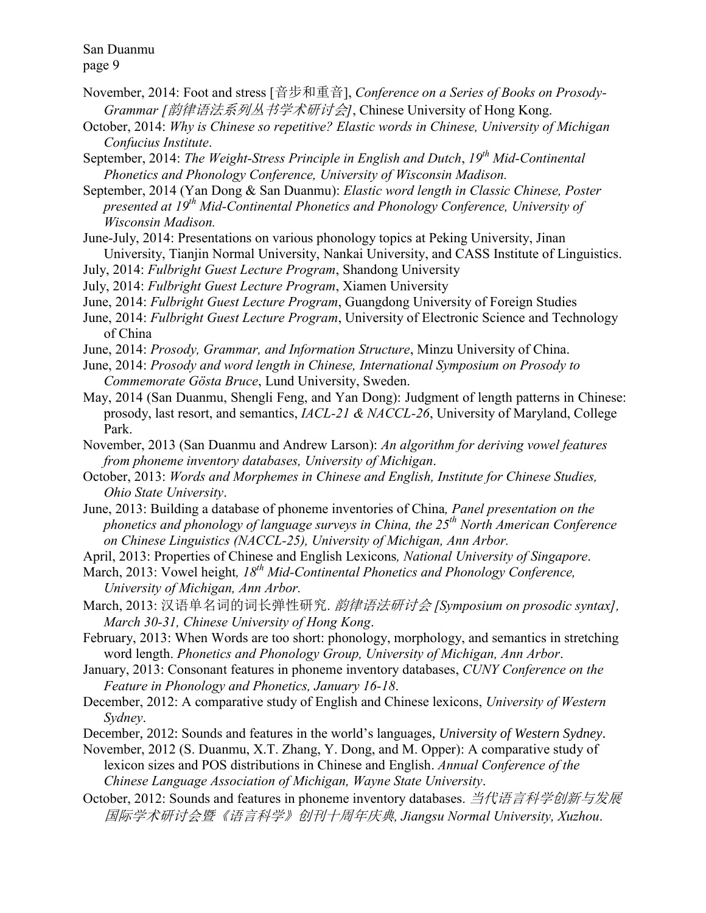- November, 2014: Foot and stress [音步和重音], *Conference on a Series of Books on Prosody-Grammar [*韵律语法系列丛书学术研讨会*]*, Chinese University of Hong Kong.
- October, 2014: *Why is Chinese so repetitive? Elastic words in Chinese, University of Michigan Confucius Institute*.
- September, 2014: *The Weight-Stress Principle in English and Dutch*, *19th Mid-Continental Phonetics and Phonology Conference, University of Wisconsin Madison.*
- September, 2014 (Yan Dong & San Duanmu): *Elastic word length in Classic Chinese, Poster presented at 19th Mid-Continental Phonetics and Phonology Conference, University of Wisconsin Madison.*
- June-July, 2014: Presentations on various phonology topics at Peking University, Jinan University, Tianjin Normal University, Nankai University, and CASS Institute of Linguistics.
- July, 2014: *Fulbright Guest Lecture Program*, Shandong University
- July, 2014: *Fulbright Guest Lecture Program*, Xiamen University
- June, 2014: *Fulbright Guest Lecture Program*, Guangdong University of Foreign Studies
- June, 2014: *Fulbright Guest Lecture Program*, University of Electronic Science and Technology of China
- June, 2014: *Prosody, Grammar, and Information Structure*, Minzu University of China.
- June, 2014: *Prosody and word length in Chinese, International Symposium on Prosody to Commemorate Gösta Bruce*, Lund University, Sweden.
- May, 2014 (San Duanmu, Shengli Feng, and Yan Dong): Judgment of length patterns in Chinese: prosody, last resort, and semantics, *IACL-21 & NACCL-26*, University of Maryland, College Park.
- November, 2013 (San Duanmu and Andrew Larson): *An algorithm for deriving vowel features from phoneme inventory databases, University of Michigan*.
- October, 2013: *Words and Morphemes in Chinese and English, Institute for Chinese Studies, Ohio State University*.
- June, 2013: Building a database of phoneme inventories of China*, Panel presentation on the phonetics and phonology of language surveys in China, the 25th North American Conference on Chinese Linguistics (NACCL-25), University of Michigan, Ann Arbor.*
- April, 2013: Properties of Chinese and English Lexicons*, National University of Singapore*.
- March, 2013: Vowel height*, 18th Mid-Continental Phonetics and Phonology Conference, University of Michigan, Ann Arbor.*
- March, 2013: 汉语单名词的词长弹性研究. 韵律语法研讨会 *[Symposium on prosodic syntax], March 30-31, Chinese University of Hong Kong*.
- February, 2013: When Words are too short: phonology, morphology, and semantics in stretching word length. *Phonetics and Phonology Group, University of Michigan, Ann Arbor*.
- January, 2013: Consonant features in phoneme inventory databases, *CUNY Conference on the Feature in Phonology and Phonetics, January 16-18*.
- December, 2012: A comparative study of English and Chinese lexicons, *University of Western Sydney*.
- December, 2012: Sounds and features in the world's languages, *University of Western Sydney*.

November, 2012 (S. Duanmu, X.T. Zhang, Y. Dong, and M. Opper): A comparative study of lexicon sizes and POS distributions in Chinese and English. *Annual Conference of the Chinese Language Association of Michigan, Wayne State University*.

October, 2012: Sounds and features in phoneme inventory databases. 当代语言科学创新与发展 国际学术研讨会暨《语言科学》创刊十周年庆典*, Jiangsu Normal University, Xuzhou*.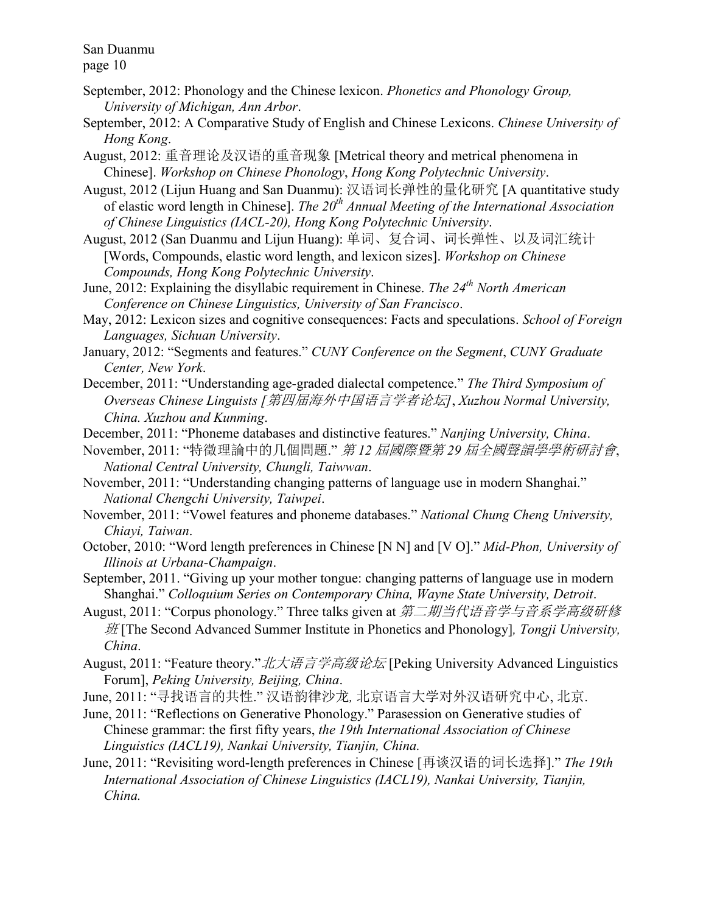- September, 2012: Phonology and the Chinese lexicon. *Phonetics and Phonology Group, University of Michigan, Ann Arbor*.
- September, 2012: A Comparative Study of English and Chinese Lexicons. *Chinese University of Hong Kong*.
- August, 2012: 重音理论及汉语的重音现象 [Metrical theory and metrical phenomena in Chinese]. *Workshop on Chinese Phonology*, *Hong Kong Polytechnic University*.
- August, 2012 (Lijun Huang and San Duanmu): 汉语词长弹性的量化研究 [A quantitative study of elastic word length in Chinese]. *The 20th Annual Meeting of the International Association of Chinese Linguistics (IACL-20), Hong Kong Polytechnic University*.
- August, 2012 (San Duanmu and Lijun Huang): 单词、复合词、词长弹性、以及词汇统计 [Words, Compounds, elastic word length, and lexicon sizes]. *Workshop on Chinese Compounds, Hong Kong Polytechnic University*.
- June, 2012: Explaining the disyllabic requirement in Chinese. *The 24th North American Conference on Chinese Linguistics, University of San Francisco*.
- May, 2012: Lexicon sizes and cognitive consequences: Facts and speculations. *School of Foreign Languages, Sichuan University*.
- January, 2012: "Segments and features." *CUNY Conference on the Segment*, *CUNY Graduate Center, New York*.
- December, 2011: "Understanding age-graded dialectal competence." *The Third Symposium of Overseas Chinese Linguists [*第四届海外中国语言学者论坛*]*, *Xuzhou Normal University, China. Xuzhou and Kunming*.
- December, 2011: "Phoneme databases and distinctive features." *Nanjing University, China*.
- November, 2011: "特徵理論中的几個問題." 第 *12* 屆國際暨第 *29* 屆全國聲韻學學術研討會, *National Central University, Chungli, Taiwwan*.
- November, 2011: "Understanding changing patterns of language use in modern Shanghai." *National Chengchi University, Taiwpei*.
- November, 2011: "Vowel features and phoneme databases." *National Chung Cheng University, Chiayi, Taiwan*.
- October, 2010: "Word length preferences in Chinese [N N] and [V O]." *Mid-Phon, University of Illinois at Urbana-Champaign*.
- September, 2011. "Giving up your mother tongue: changing patterns of language use in modern Shanghai." *Colloquium Series on Contemporary China, Wayne State University, Detroit*.
- August, 2011: "Corpus phonology." Three talks given at 第二期当代语音学与音系学高级研修 班 [The Second Advanced Summer Institute in Phonetics and Phonology]*, Tongji University, China*.
- August, 2011: "Feature theory." 北大语言学高级论坛 [Peking University Advanced Linguistics Forum], *Peking University, Beijing, China*.
- June, 2011: "寻找语言的共性." 汉语韵律沙龙*,* 北京语言大学对外汉语研究中心, 北京.
- June, 2011: "Reflections on Generative Phonology." Parasession on Generative studies of Chinese grammar: the first fifty years, *the 19th International Association of Chinese Linguistics (IACL19), Nankai University, Tianjin, China.*
- June, 2011: "Revisiting word-length preferences in Chinese [再谈汉语的词长选择]." *The 19th International Association of Chinese Linguistics (IACL19), Nankai University, Tianjin, China.*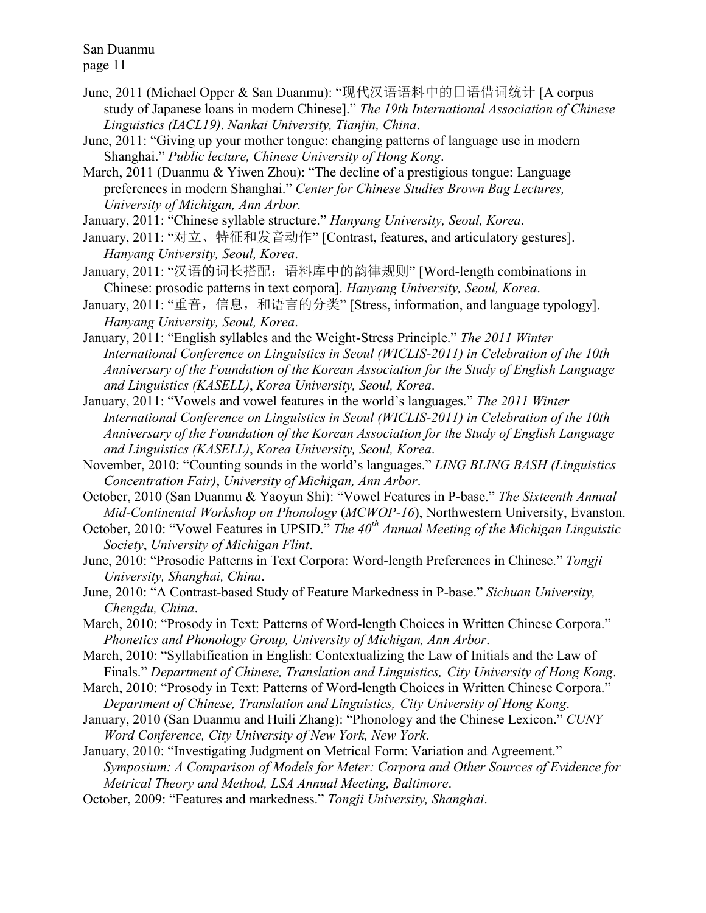- June, 2011 (Michael Opper & San Duanmu): "现代汉语语料中的日语借词统计 [A corpus study of Japanese loans in modern Chinese]." *The 19th International Association of Chinese Linguistics (IACL19)*. *Nankai University, Tianjin, China*.
- June, 2011: "Giving up your mother tongue: changing patterns of language use in modern Shanghai." *Public lecture, Chinese University of Hong Kong*.
- March, 2011 (Duanmu & Yiwen Zhou): "The decline of a prestigious tongue: Language preferences in modern Shanghai." *Center for Chinese Studies Brown Bag Lectures, University of Michigan, Ann Arbor.*

January, 2011: "Chinese syllable structure." *Hanyang University, Seoul, Korea*.

- January, 2011: "对立、特征和发音动作" [Contrast, features, and articulatory gestures]. *Hanyang University, Seoul, Korea*.
- January, 2011: "汉语的词长搭配: 语料库中的韵律规则" [Word-length combinations in Chinese: prosodic patterns in text corpora]. *Hanyang University, Seoul, Korea*.
- January, 2011: "重音, 信息, 和语言的分类" [Stress, information, and language typology]. *Hanyang University, Seoul, Korea*.
- January, 2011: "English syllables and the Weight-Stress Principle." *The 2011 Winter International Conference on Linguistics in Seoul (WICLIS-2011) in Celebration of the 10th Anniversary of the Foundation of the Korean Association for the Study of English Language and Linguistics (KASELL)*, *Korea University, Seoul, Korea*.
- January, 2011: "Vowels and vowel features in the world's languages." *The 2011 Winter International Conference on Linguistics in Seoul (WICLIS-2011) in Celebration of the 10th Anniversary of the Foundation of the Korean Association for the Study of English Language and Linguistics (KASELL)*, *Korea University, Seoul, Korea*.
- November, 2010: "Counting sounds in the world's languages." *LING BLING BASH (Linguistics Concentration Fair)*, *University of Michigan, Ann Arbor*.
- October, 2010 (San Duanmu & Yaoyun Shi): "Vowel Features in P-base." *The Sixteenth Annual Mid-Continental Workshop on Phonology* (*MCWOP-16*), Northwestern University, Evanston.
- October, 2010: "Vowel Features in UPSID." *The 40th Annual Meeting of the Michigan Linguistic Society*, *University of Michigan Flint*.
- June, 2010: "Prosodic Patterns in Text Corpora: Word-length Preferences in Chinese." *Tongji University, Shanghai, China*.
- June, 2010: "A Contrast-based Study of Feature Markedness in P-base." *Sichuan University, Chengdu, China*.
- March, 2010: "Prosody in Text: Patterns of Word-length Choices in Written Chinese Corpora." *Phonetics and Phonology Group, University of Michigan, Ann Arbor*.
- March, 2010: "Syllabification in English: Contextualizing the Law of Initials and the Law of Finals." *Department of Chinese, Translation and Linguistics, City University of Hong Kong*.
- March, 2010: "Prosody in Text: Patterns of Word-length Choices in Written Chinese Corpora." *Department of Chinese, Translation and Linguistics, City University of Hong Kong*.
- January, 2010 (San Duanmu and Huili Zhang): "Phonology and the Chinese Lexicon." *CUNY Word Conference, City University of New York, New York*.
- January, 2010: "Investigating Judgment on Metrical Form: Variation and Agreement." *Symposium: A Comparison of Models for Meter: Corpora and Other Sources of Evidence for Metrical Theory and Method, LSA Annual Meeting, Baltimore*.
- October, 2009: "Features and markedness." *Tongji University, Shanghai*.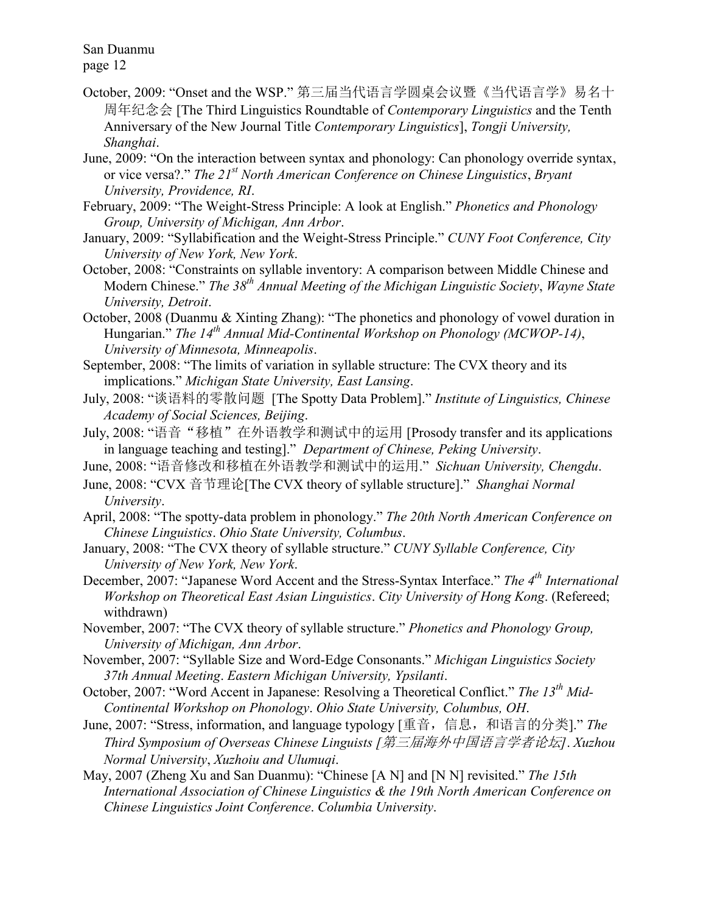- October, 2009: "Onset and the WSP." 第三届当代语言学圆桌会议暨《当代语言学》易名十 周年纪念会 [The Third Linguistics Roundtable of *Contemporary Linguistics* and the Tenth Anniversary of the New Journal Title *Contemporary Linguistics*], *Tongji University, Shanghai*.
- June, 2009: "On the interaction between syntax and phonology: Can phonology override syntax, or vice versa?." *The 21st North American Conference on Chinese Linguistics*, *Bryant University, Providence, RI*.
- February, 2009: "The Weight-Stress Principle: A look at English." *Phonetics and Phonology Group, University of Michigan, Ann Arbor*.
- January, 2009: "Syllabification and the Weight-Stress Principle." *CUNY Foot Conference, City University of New York, New York*.
- October, 2008: "Constraints on syllable inventory: A comparison between Middle Chinese and Modern Chinese." *The 38th Annual Meeting of the Michigan Linguistic Society*, *Wayne State University, Detroit*.
- October, 2008 (Duanmu & Xinting Zhang): "The phonetics and phonology of vowel duration in Hungarian." *The 14th Annual Mid-Continental Workshop on Phonology (MCWOP-14)*, *University of Minnesota, Minneapolis*.
- September, 2008: "The limits of variation in syllable structure: The CVX theory and its implications." *Michigan State University, East Lansing*.
- July, 2008: "谈语料的零散问题 [The Spotty Data Problem]." *Institute of Linguistics, Chinese Academy of Social Sciences, Beijing*.
- July, 2008: "语音"移植"在外语教学和测试中的运用 [Prosody transfer and its applications in language teaching and testing]." *Department of Chinese, Peking University*.
- June, 2008: "语音修改和移植在外语教学和测试中的运用." *Sichuan University, Chengdu*.
- June, 2008: "CVX 音节理论[The CVX theory of syllable structure]." *Shanghai Normal University*.
- April, 2008: "The spotty-data problem in phonology." *The 20th North American Conference on Chinese Linguistics*. *Ohio State University, Columbus*.
- January, 2008: "The CVX theory of syllable structure." *CUNY Syllable Conference, City University of New York, New York*.
- December, 2007: "Japanese Word Accent and the Stress-Syntax Interface." *The 4 th International Workshop on Theoretical East Asian Linguistics*. *City University of Hong Kong*. (Refereed; withdrawn)
- November, 2007: "The CVX theory of syllable structure." *Phonetics and Phonology Group, University of Michigan, Ann Arbor*.
- November, 2007: "Syllable Size and Word-Edge Consonants." *Michigan Linguistics Society 37th Annual Meeting*. *Eastern Michigan University, Ypsilanti*.
- October, 2007: "Word Accent in Japanese: Resolving a Theoretical Conflict." *The 13th Mid-Continental Workshop on Phonology*. *Ohio State University, Columbus, OH*.
- June, 2007: "Stress, information, and language typology [重音,信息,和语言的分类]." *The Third Symposium of Overseas Chinese Linguists [*第三届海外中国语言学者论坛*]*. *Xuzhou Normal University*, *Xuzhoiu and Ulumuqi*.
- May, 2007 (Zheng Xu and San Duanmu): "Chinese [A N] and [N N] revisited." *The 15th International Association of Chinese Linguistics & the 19th North American Conference on Chinese Linguistics Joint Conference*. *Columbia University*.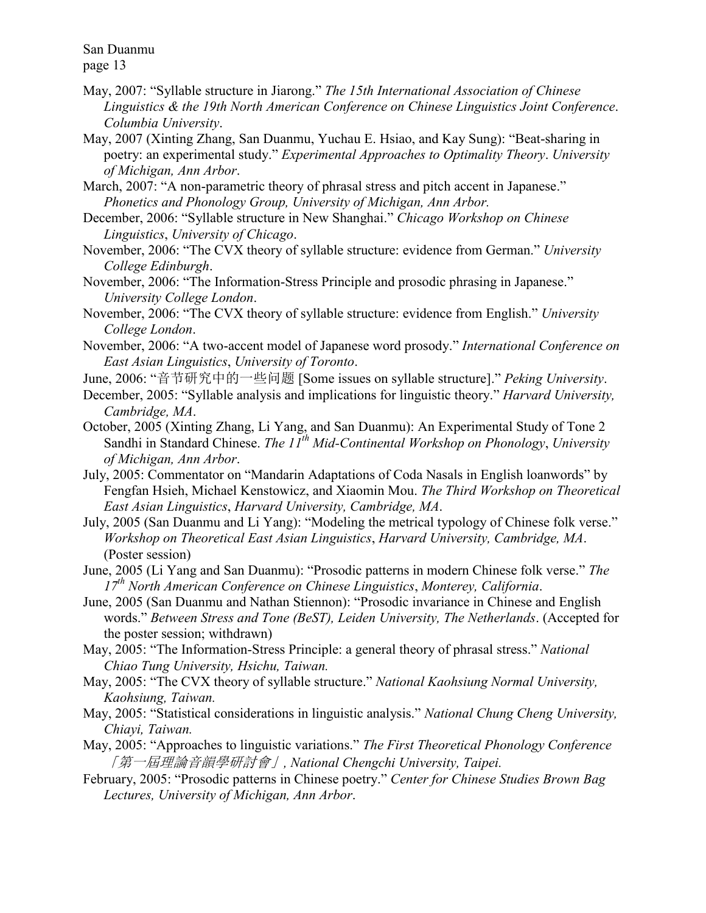- May, 2007: "Syllable structure in Jiarong." *The 15th International Association of Chinese Linguistics & the 19th North American Conference on Chinese Linguistics Joint Conference*. *Columbia University*.
- May, 2007 (Xinting Zhang, San Duanmu, Yuchau E. Hsiao, and Kay Sung): "Beat-sharing in poetry: an experimental study." *Experimental Approaches to Optimality Theory*. *University of Michigan, Ann Arbor*.
- March, 2007: "A non-parametric theory of phrasal stress and pitch accent in Japanese." *Phonetics and Phonology Group, University of Michigan, Ann Arbor.*
- December, 2006: "Syllable structure in New Shanghai." *Chicago Workshop on Chinese Linguistics*, *University of Chicago*.
- November, 2006: "The CVX theory of syllable structure: evidence from German." *University College Edinburgh*.
- November, 2006: "The Information-Stress Principle and prosodic phrasing in Japanese." *University College London*.
- November, 2006: "The CVX theory of syllable structure: evidence from English." *University College London*.
- November, 2006: "A two-accent model of Japanese word prosody." *International Conference on East Asian Linguistics*, *University of Toronto*.
- June, 2006: "音节研究中的一些问题 [Some issues on syllable structure]." *Peking University*.
- December, 2005: "Syllable analysis and implications for linguistic theory." *Harvard University, Cambridge, MA*.
- October, 2005 (Xinting Zhang, Li Yang, and San Duanmu): An Experimental Study of Tone 2 Sandhi in Standard Chinese. *The 11th Mid-Continental Workshop on Phonology*, *University of Michigan, Ann Arbor*.
- July, 2005: Commentator on "Mandarin Adaptations of Coda Nasals in English loanwords" by Fengfan Hsieh, Michael Kenstowicz, and Xiaomin Mou. *The Third Workshop on Theoretical East Asian Linguistics*, *Harvard University, Cambridge, MA*.
- July, 2005 (San Duanmu and Li Yang): "Modeling the metrical typology of Chinese folk verse." *Workshop on Theoretical East Asian Linguistics*, *Harvard University, Cambridge, MA*. (Poster session)
- June, 2005 (Li Yang and San Duanmu): "Prosodic patterns in modern Chinese folk verse." *The 17th North American Conference on Chinese Linguistics*, *Monterey, California*.
- June, 2005 (San Duanmu and Nathan Stiennon): "Prosodic invariance in Chinese and English words." *Between Stress and Tone (BeST), Leiden University, The Netherlands*. (Accepted for the poster session; withdrawn)
- May, 2005: "The Information-Stress Principle: a general theory of phrasal stress." *National Chiao Tung University, Hsichu, Taiwan.*
- May, 2005: "The CVX theory of syllable structure." *National Kaohsiung Normal University, Kaohsiung, Taiwan.*
- May, 2005: "Statistical considerations in linguistic analysis." *National Chung Cheng University, Chiayi, Taiwan.*
- May, 2005: "Approaches to linguistic variations." *The First Theoretical Phonology Conference* 「第一屆理論音韻學研討會」*, National Chengchi University, Taipei.*
- February, 2005: "Prosodic patterns in Chinese poetry." *Center for Chinese Studies Brown Bag Lectures, University of Michigan, Ann Arbor*.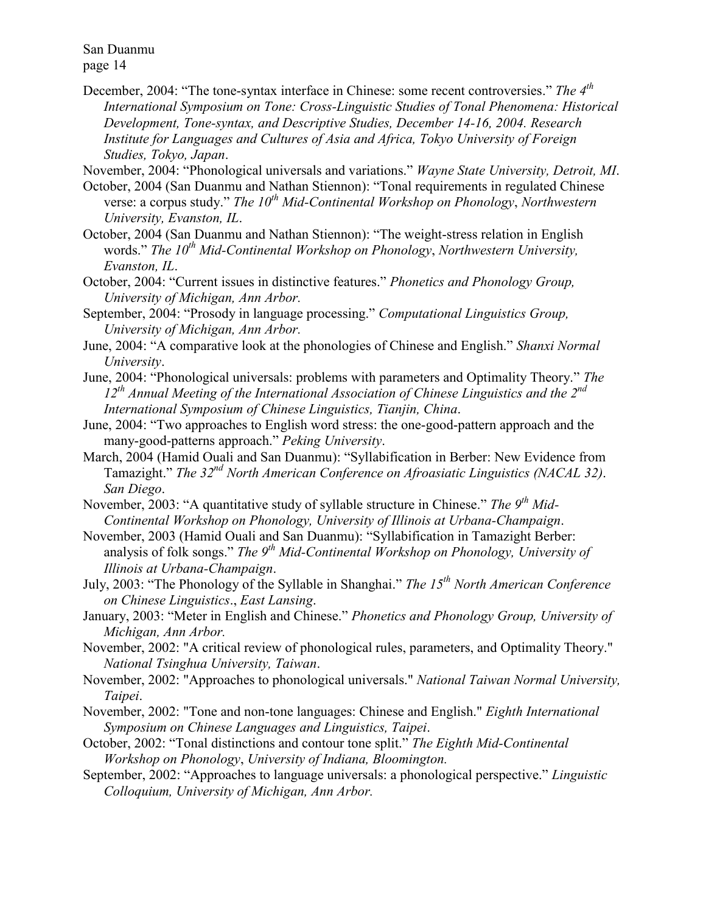December, 2004: "The tone-syntax interface in Chinese: some recent controversies." *The 4th International Symposium on Tone: Cross-Linguistic Studies of Tonal Phenomena: Historical Development, Tone-syntax, and Descriptive Studies, December 14-16, 2004. Research Institute for Languages and Cultures of Asia and Africa, Tokyo University of Foreign Studies, Tokyo, Japan*.

November, 2004: "Phonological universals and variations." *Wayne State University, Detroit, MI*.

- October, 2004 (San Duanmu and Nathan Stiennon): "Tonal requirements in regulated Chinese verse: a corpus study." *The 10th Mid-Continental Workshop on Phonology*, *Northwestern University, Evanston, IL*.
- October, 2004 (San Duanmu and Nathan Stiennon): "The weight-stress relation in English words." *The 10th Mid-Continental Workshop on Phonology*, *Northwestern University, Evanston, IL*.
- October, 2004: "Current issues in distinctive features." *Phonetics and Phonology Group, University of Michigan, Ann Arbor.*
- September, 2004: "Prosody in language processing." *Computational Linguistics Group, University of Michigan, Ann Arbor.*
- June, 2004: "A comparative look at the phonologies of Chinese and English." *Shanxi Normal University*.
- June, 2004: "Phonological universals: problems with parameters and Optimality Theory." *The 12th Annual Meeting of the International Association of Chinese Linguistics and the 2nd International Symposium of Chinese Linguistics, Tianjin, China*.
- June, 2004: "Two approaches to English word stress: the one-good-pattern approach and the many-good-patterns approach." *Peking University*.
- March, 2004 (Hamid Ouali and San Duanmu): "Syllabification in Berber: New Evidence from Tamazight." *The 32nd North American Conference on Afroasiatic Linguistics (NACAL 32)*. *San Diego*.
- November, 2003: "A quantitative study of syllable structure in Chinese." *The 9th Mid-Continental Workshop on Phonology, University of Illinois at Urbana-Champaign*.
- November, 2003 (Hamid Ouali and San Duanmu): "Syllabification in Tamazight Berber: analysis of folk songs." *The 9th Mid-Continental Workshop on Phonology, University of Illinois at Urbana-Champaign*.
- July, 2003: "The Phonology of the Syllable in Shanghai." *The 15th North American Conference on Chinese Linguistics*., *East Lansing*.
- January, 2003: "Meter in English and Chinese." *Phonetics and Phonology Group, University of Michigan, Ann Arbor.*
- November, 2002: "A critical review of phonological rules, parameters, and Optimality Theory." *National Tsinghua University, Taiwan*.
- November, 2002: "Approaches to phonological universals." *National Taiwan Normal University, Taipei*.
- November, 2002: "Tone and non-tone languages: Chinese and English." *Eighth International Symposium on Chinese Languages and Linguistics, Taipei*.
- October, 2002: "Tonal distinctions and contour tone split." *The Eighth Mid-Continental Workshop on Phonology*, *University of Indiana, Bloomington.*
- September, 2002: "Approaches to language universals: a phonological perspective." *Linguistic Colloquium, University of Michigan, Ann Arbor.*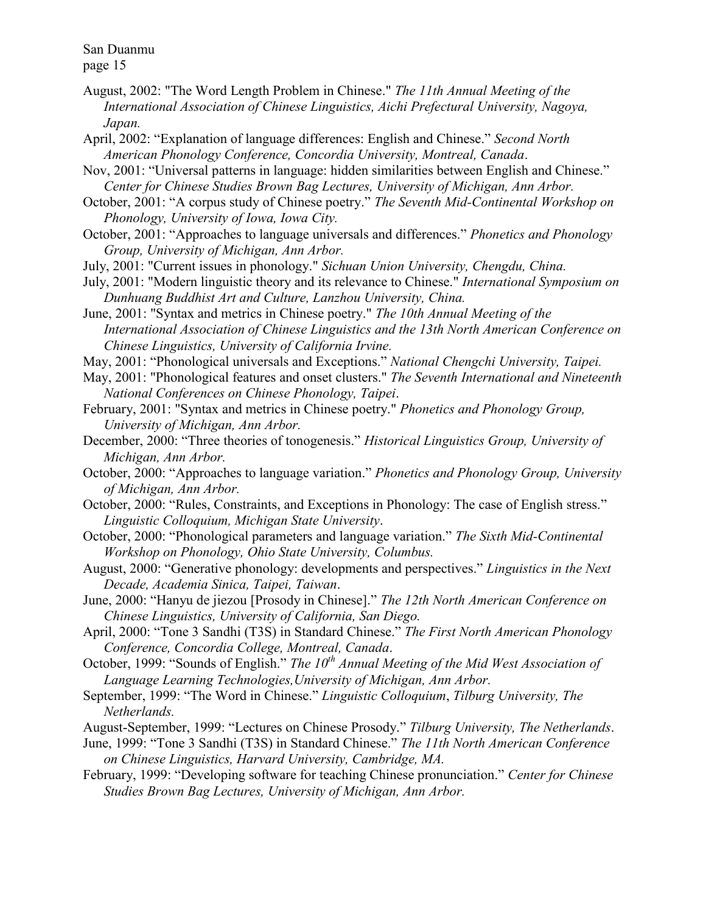- August, 2002: "The Word Length Problem in Chinese." *The 11th Annual Meeting of the International Association of Chinese Linguistics, Aichi Prefectural University, Nagoya, Japan.*
- April, 2002: "Explanation of language differences: English and Chinese." *Second North American Phonology Conference, Concordia University, Montreal, Canada*.
- Nov, 2001: "Universal patterns in language: hidden similarities between English and Chinese." *Center for Chinese Studies Brown Bag Lectures, University of Michigan, Ann Arbor.*
- October, 2001: "A corpus study of Chinese poetry." *The Seventh Mid-Continental Workshop on Phonology, University of Iowa, Iowa City.*
- October, 2001: "Approaches to language universals and differences." *Phonetics and Phonology Group, University of Michigan, Ann Arbor.*
- July, 2001: "Current issues in phonology." *Sichuan Union University, Chengdu, China.*
- July, 2001: "Modern linguistic theory and its relevance to Chinese." *International Symposium on Dunhuang Buddhist Art and Culture, Lanzhou University, China.*
- June, 2001: "Syntax and metrics in Chinese poetry." *The 10th Annual Meeting of the International Association of Chinese Linguistics and the 13th North American Conference on Chinese Linguistics, University of California Irvine.*
- May, 2001: "Phonological universals and Exceptions." *National Chengchi University, Taipei.*
- May, 2001: "Phonological features and onset clusters." *The Seventh International and Nineteenth National Conferences on Chinese Phonology, Taipei*.
- February, 2001: "Syntax and metrics in Chinese poetry." *Phonetics and Phonology Group, University of Michigan, Ann Arbor.*
- December, 2000: "Three theories of tonogenesis." *Historical Linguistics Group, University of Michigan, Ann Arbor.*
- October, 2000: "Approaches to language variation." *Phonetics and Phonology Group, University of Michigan, Ann Arbor.*
- October, 2000: "Rules, Constraints, and Exceptions in Phonology: The case of English stress." *Linguistic Colloquium, Michigan State University*.
- October, 2000: "Phonological parameters and language variation." *The Sixth Mid-Continental Workshop on Phonology, Ohio State University, Columbus.*
- August, 2000: "Generative phonology: developments and perspectives." *Linguistics in the Next Decade, Academia Sinica, Taipei, Taiwan*.
- June, 2000: "Hanyu de jiezou [Prosody in Chinese]." *The 12th North American Conference on Chinese Linguistics, University of California, San Diego.*
- April, 2000: "Tone 3 Sandhi (T3S) in Standard Chinese." *The First North American Phonology Conference, Concordia College, Montreal, Canada*.
- October, 1999: "Sounds of English." *The 10th Annual Meeting of the Mid West Association of Language Learning Technologies,University of Michigan, Ann Arbor.*
- September, 1999: "The Word in Chinese." *Linguistic Colloquium*, *Tilburg University, The Netherlands.*
- August-September, 1999: "Lectures on Chinese Prosody." *Tilburg University, The Netherlands*.
- June, 1999: "Tone 3 Sandhi (T3S) in Standard Chinese." *The 11th North American Conference on Chinese Linguistics, Harvard University, Cambridge, MA.*
- February, 1999: "Developing software for teaching Chinese pronunciation." *Center for Chinese Studies Brown Bag Lectures, University of Michigan, Ann Arbor.*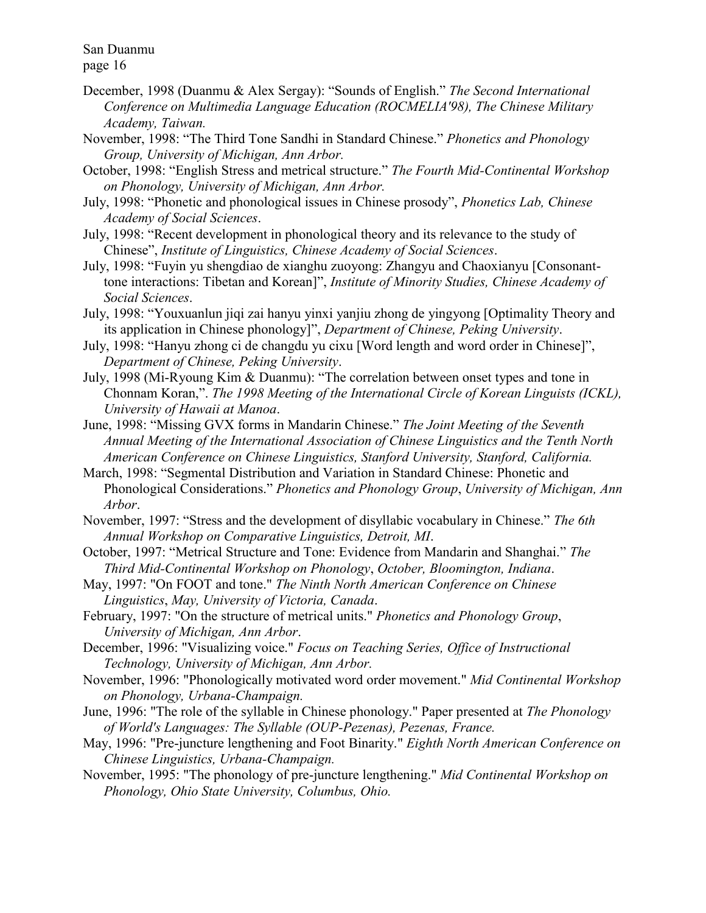- December, 1998 (Duanmu & Alex Sergay): "Sounds of English." *The Second International Conference on Multimedia Language Education (ROCMELIA'98), The Chinese Military Academy, Taiwan.*
- November, 1998: "The Third Tone Sandhi in Standard Chinese." *Phonetics and Phonology Group, University of Michigan, Ann Arbor.*
- October, 1998: "English Stress and metrical structure." *The Fourth Mid-Continental Workshop on Phonology, University of Michigan, Ann Arbor.*
- July, 1998: "Phonetic and phonological issues in Chinese prosody", *Phonetics Lab, Chinese Academy of Social Sciences*.
- July, 1998: "Recent development in phonological theory and its relevance to the study of Chinese", *Institute of Linguistics, Chinese Academy of Social Sciences*.
- July, 1998: "Fuyin yu shengdiao de xianghu zuoyong: Zhangyu and Chaoxianyu [Consonanttone interactions: Tibetan and Korean]", *Institute of Minority Studies, Chinese Academy of Social Sciences*.
- July, 1998: "Youxuanlun jiqi zai hanyu yinxi yanjiu zhong de yingyong [Optimality Theory and its application in Chinese phonology]", *Department of Chinese, Peking University*.
- July, 1998: "Hanyu zhong ci de changdu yu cixu [Word length and word order in Chinese]", *Department of Chinese, Peking University*.
- July, 1998 (Mi-Ryoung Kim & Duanmu): "The correlation between onset types and tone in Chonnam Koran,". *The 1998 Meeting of the International Circle of Korean Linguists (ICKL), University of Hawaii at Manoa*.
- June, 1998: "Missing GVX forms in Mandarin Chinese." *The Joint Meeting of the Seventh Annual Meeting of the International Association of Chinese Linguistics and the Tenth North American Conference on Chinese Linguistics, Stanford University, Stanford, California.*
- March, 1998: "Segmental Distribution and Variation in Standard Chinese: Phonetic and Phonological Considerations." *Phonetics and Phonology Group*, *University of Michigan, Ann Arbor*.
- November, 1997: "Stress and the development of disyllabic vocabulary in Chinese." *The 6th Annual Workshop on Comparative Linguistics, Detroit, MI*.
- October, 1997: "Metrical Structure and Tone: Evidence from Mandarin and Shanghai." *The Third Mid-Continental Workshop on Phonology*, *October, Bloomington, Indiana*.
- May, 1997: "On FOOT and tone." *The Ninth North American Conference on Chinese Linguistics*, *May, University of Victoria, Canada*.
- February, 1997: "On the structure of metrical units." *Phonetics and Phonology Group*, *University of Michigan, Ann Arbor*.
- December, 1996: "Visualizing voice." *Focus on Teaching Series, Office of Instructional Technology, University of Michigan, Ann Arbor.*
- November, 1996: "Phonologically motivated word order movement." *Mid Continental Workshop on Phonology, Urbana-Champaign.*
- June, 1996: "The role of the syllable in Chinese phonology." Paper presented at *The Phonology of World's Languages: The Syllable (OUP-Pezenas), Pezenas, France.*

May, 1996: "Pre-juncture lengthening and Foot Binarity." *Eighth North American Conference on Chinese Linguistics, Urbana-Champaign.*

November, 1995: "The phonology of pre-juncture lengthening." *Mid Continental Workshop on Phonology, Ohio State University, Columbus, Ohio.*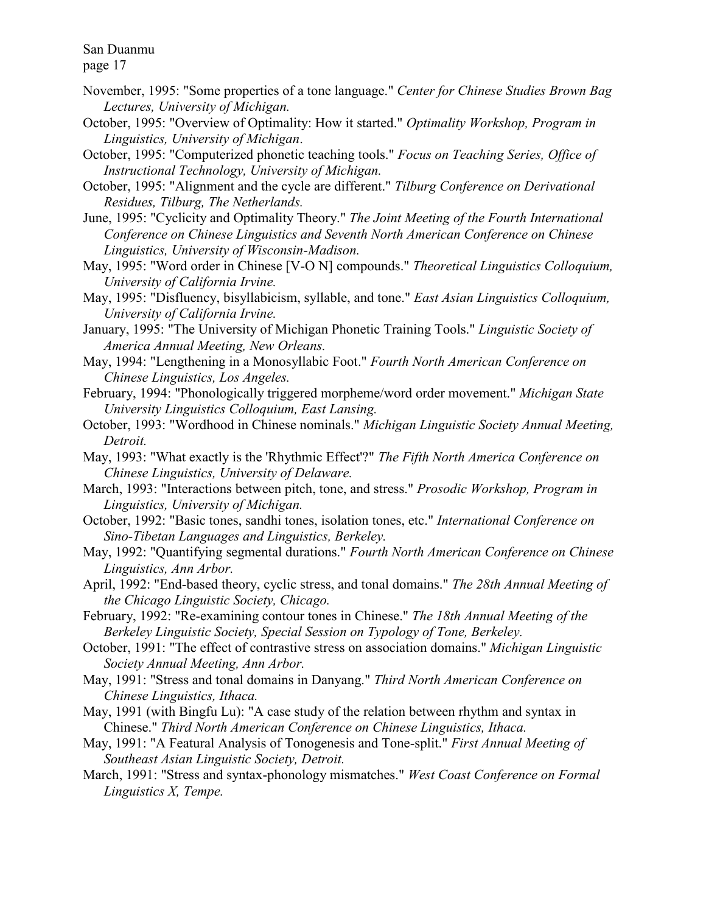page 17

- November, 1995: "Some properties of a tone language." *Center for Chinese Studies Brown Bag Lectures, University of Michigan.*
- October, 1995: "Overview of Optimality: How it started." *Optimality Workshop, Program in Linguistics, University of Michigan*.
- October, 1995: "Computerized phonetic teaching tools." *Focus on Teaching Series, Office of Instructional Technology, University of Michigan.*
- October, 1995: "Alignment and the cycle are different." *Tilburg Conference on Derivational Residues, Tilburg, The Netherlands.*
- June, 1995: "Cyclicity and Optimality Theory." *The Joint Meeting of the Fourth International Conference on Chinese Linguistics and Seventh North American Conference on Chinese Linguistics, University of Wisconsin-Madison.*
- May, 1995: "Word order in Chinese [V-O N] compounds." *Theoretical Linguistics Colloquium, University of California Irvine.*
- May, 1995: "Disfluency, bisyllabicism, syllable, and tone." *East Asian Linguistics Colloquium, University of California Irvine.*
- January, 1995: "The University of Michigan Phonetic Training Tools." *Linguistic Society of America Annual Meeting, New Orleans.*
- May, 1994: "Lengthening in a Monosyllabic Foot." *Fourth North American Conference on Chinese Linguistics, Los Angeles.*
- February, 1994: "Phonologically triggered morpheme/word order movement." *Michigan State University Linguistics Colloquium, East Lansing.*
- October, 1993: "Wordhood in Chinese nominals." *Michigan Linguistic Society Annual Meeting, Detroit.*
- May, 1993: "What exactly is the 'Rhythmic Effect'?" *The Fifth North America Conference on Chinese Linguistics, University of Delaware.*
- March, 1993: "Interactions between pitch, tone, and stress." *Prosodic Workshop, Program in Linguistics, University of Michigan.*
- October, 1992: "Basic tones, sandhi tones, isolation tones, etc." *International Conference on Sino-Tibetan Languages and Linguistics, Berkeley.*
- May, 1992: "Quantifying segmental durations." *Fourth North American Conference on Chinese Linguistics, Ann Arbor.*
- April, 1992: "End-based theory, cyclic stress, and tonal domains." *The 28th Annual Meeting of the Chicago Linguistic Society, Chicago.*
- February, 1992: "Re-examining contour tones in Chinese." *The 18th Annual Meeting of the Berkeley Linguistic Society, Special Session on Typology of Tone, Berkeley.*
- October, 1991: "The effect of contrastive stress on association domains." *Michigan Linguistic Society Annual Meeting, Ann Arbor.*
- May, 1991: "Stress and tonal domains in Danyang." *Third North American Conference on Chinese Linguistics, Ithaca.*
- May, 1991 (with Bingfu Lu): "A case study of the relation between rhythm and syntax in Chinese." *Third North American Conference on Chinese Linguistics, Ithaca.*

May, 1991: "A Featural Analysis of Tonogenesis and Tone-split." *First Annual Meeting of Southeast Asian Linguistic Society, Detroit.*

March, 1991: "Stress and syntax-phonology mismatches." *West Coast Conference on Formal Linguistics X, Tempe.*